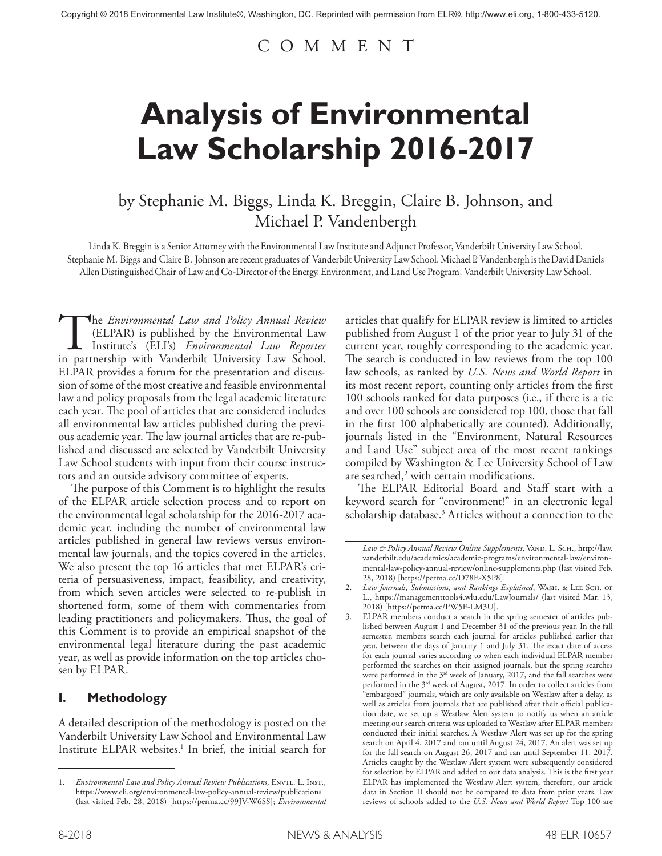# COMMENT

# **Analysis of Environmental Law Scholarship 2016-2017**

# by Stephanie M. Biggs, Linda K. Breggin, Claire B. Johnson, and Michael P. Vandenbergh

Linda K. Breggin is a Senior Attorney with the Environmental Law Institute and Adjunct Professor, Vanderbilt University Law School. Stephanie M. Biggs and Claire B. Johnson are recent graduates of Vanderbilt University Law School. Michael P. Vandenbergh is the David Daniels Allen Distinguished Chair of Law and Co-Director of the Energy, Environment, and Land Use Program, Vanderbilt University Law School.

The *Environmental Law and Policy Annual Review*<br>(ELPAR) is published by the Environmental Law<br>Institute's (ELI's) *Environmental Law Reporter*<br>in partnership with Vanderbilt University Law School. (ELPAR) is published by the Environmental Law Institute's (ELI's) *Environmental Law Reporter*  in partnership with Vanderbilt University Law School. ELPAR provides a forum for the presentation and discussion of some of the most creative and feasible environmental law and policy proposals from the legal academic literature each year. The pool of articles that are considered includes all environmental law articles published during the previous academic year. The law journal articles that are re-published and discussed are selected by Vanderbilt University Law School students with input from their course instructors and an outside advisory committee of experts.

The purpose of this Comment is to highlight the results of the ELPAR article selection process and to report on the environmental legal scholarship for the 2016-2017 academic year, including the number of environmental law articles published in general law reviews versus environmental law journals, and the topics covered in the articles. We also present the top 16 articles that met ELPAR's criteria of persuasiveness, impact, feasibility, and creativity, from which seven articles were selected to re-publish in shortened form, some of them with commentaries from leading practitioners and policymakers. Thus, the goal of this Comment is to provide an empirical snapshot of the environmental legal literature during the past academic year, as well as provide information on the top articles chosen by ELPAR.

## **I. Methodology**

A detailed description of the methodology is posted on the Vanderbilt University Law School and Environmental Law Institute ELPAR websites.<sup>1</sup> In brief, the initial search for

articles that qualify for ELPAR review is limited to articles published from August 1 of the prior year to July 31 of the current year, roughly corresponding to the academic year. The search is conducted in law reviews from the top 100 law schools, as ranked by *U.S. News and World Report* in its most recent report, counting only articles from the first 100 schools ranked for data purposes (i.e., if there is a tie and over 100 schools are considered top 100, those that fall in the first 100 alphabetically are counted). Additionally, journals listed in the "Environment, Natural Resources and Land Use" subject area of the most recent rankings compiled by Washington & Lee University School of Law are searched, $2$  with certain modifications.

The ELPAR Editorial Board and Staff start with a keyword search for "environment!" in an electronic legal scholarship database.<sup>3</sup> Articles without a connection to the

<sup>1.</sup> *Environmental Law and Policy Annual Review Publications*, ENVTL. L. INST., https://www.eli.org/environmental-law-policy-annual-review/publications (last visited Feb. 28, 2018) [https://perma.cc/99JV-W6SS]; *Environmental* 

Law & Policy Annual Review Online Supplements, VAND. L. SCH., http://law. vanderbilt.edu/academics/academic-programs/environmental-law/environmental-law-policy-annual-review/online-supplements.php (last visited Feb. 28, 2018) [https://perma.cc/D78E-X5P8].

<sup>2.</sup> *Law Journals, Submissions, and Rankings Explained*, WASH. & LEE SCH. OF L., https://managementtools4.wlu.edu/LawJournals/ (last visited Mar. 13, 2018) [https://perma.cc/PW5F-LM3U].

<sup>3.</sup> ELPAR members conduct a search in the spring semester of articles published between August 1 and December 31 of the previous year. In the fall semester, members search each journal for articles published earlier that year, between the days of January 1 and July 31. The exact date of access for each journal varies according to when each individual ELPAR member performed the searches on their assigned journals, but the spring searches were performed in the 3rd week of January, 2017, and the fall searches were performed in the 3<sup>rd</sup> week of August, 2017. In order to collect articles from "embargoed" journals, which are only available on Westlaw after a delay, as well as articles from journals that are published after their official publication date, we set up a Westlaw Alert system to notify us when an article meeting our search criteria was uploaded to Westlaw after ELPAR members conducted their initial searches. A Westlaw Alert was set up for the spring search on April 4, 2017 and ran until August 24, 2017. An alert was set up for the fall search on August 26, 2017 and ran until September 11, 2017. Articles caught by the Westlaw Alert system were subsequently considered for selection by ELPAR and added to our data analysis. This is the first year ELPAR has implemented the Westlaw Alert system, therefore, our article data in Section II should not be compared to data from prior years. Law reviews of schools added to the *U.S. News and World Report* Top 100 are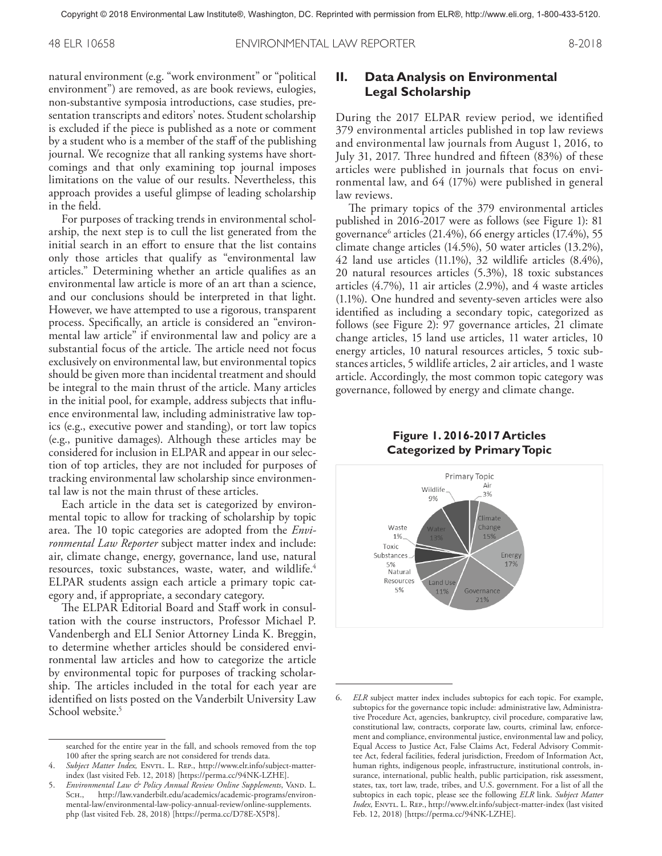48 ELR 10658 ENVIRONMENTAL LAW REPORTER 8-2018

natural environment (e.g. "work environment" or "political environment") are removed, as are book reviews, eulogies, non-substantive symposia introductions, case studies, presentation transcripts and editors' notes. Student scholarship is excluded if the piece is published as a note or comment by a student who is a member of the staff of the publishing journal. We recognize that all ranking systems have shortcomings and that only examining top journal imposes limitations on the value of our results. Nevertheless, this approach provides a useful glimpse of leading scholarship in the field.

For purposes of tracking trends in environmental scholarship, the next step is to cull the list generated from the initial search in an effort to ensure that the list contains only those articles that qualify as "environmental law articles." Determining whether an article qualifies as an environmental law article is more of an art than a science, and our conclusions should be interpreted in that light. However, we have attempted to use a rigorous, transparent process. Specifically, an article is considered an "environmental law article" if environmental law and policy are a substantial focus of the article. The article need not focus exclusively on environmental law, but environmental topics should be given more than incidental treatment and should be integral to the main thrust of the article. Many articles in the initial pool, for example, address subjects that influence environmental law, including administrative law topics (e.g., executive power and standing), or tort law topics (e.g., punitive damages). Although these articles may be considered for inclusion in ELPAR and appear in our selection of top articles, they are not included for purposes of tracking environmental law scholarship since environmental law is not the main thrust of these articles.

Each article in the data set is categorized by environmental topic to allow for tracking of scholarship by topic area. The 10 topic categories are adopted from the *Environmental Law Reporter* subject matter index and include: air, climate change, energy, governance, land use, natural resources, toxic substances, waste, water, and wildlife.<sup>4</sup> ELPAR students assign each article a primary topic category and, if appropriate, a secondary category.

The ELPAR Editorial Board and Staff work in consultation with the course instructors, Professor Michael P. Vandenbergh and ELI Senior Attorney Linda K. Breggin, to determine whether articles should be considered environmental law articles and how to categorize the article by environmental topic for purposes of tracking scholarship. The articles included in the total for each year are identified on lists posted on the Vanderbilt University Law School website.<sup>5</sup>

### **II. Data Analysis on Environmental Legal Scholarship**

During the 2017 ELPAR review period, we identified 379 environmental articles published in top law reviews and environmental law journals from August 1, 2016, to July 31, 2017. Three hundred and fifteen (83%) of these articles were published in journals that focus on environmental law, and 64 (17%) were published in general law reviews.

The primary topics of the 379 environmental articles published in 2016-2017 were as follows (see Figure 1): 81 governance<sup>6</sup> articles (21.4%), 66 energy articles (17.4%), 55 climate change articles (14.5%), 50 water articles (13.2%), 42 land use articles (11.1%), 32 wildlife articles (8.4%), 20 natural resources articles (5.3%), 18 toxic substances articles (4.7%), 11 air articles (2.9%), and 4 waste articles (1.1%). One hundred and seventy-seven articles were also identified as including a secondary topic, categorized as follows (see Figure 2): 97 governance articles, 21 climate change articles, 15 land use articles, 11 water articles, 10 energy articles, 10 natural resources articles, 5 toxic substances articles, 5 wildlife articles, 2 air articles, and 1 waste article. Accordingly, the most common topic category was governance, followed by energy and climate change.

#### **Figure 1. 2016-2017 Articles Categorized by Primary Topic**



searched for the entire year in the fall, and schools removed from the top 100 after the spring search are not considered for trends data.

<sup>4.</sup> Subject Matter Index, ENVTL. L. REP., http://www.elr.info/subject-matterindex (last visited Feb. 12, 2018) [https://perma.cc/94NK-LZHE].

<sup>5.</sup> *Environmental Law & Policy Annual Review Online Supplements*, Vand. L. Sсн., http://law.vanderbilt.edu/academics/academic-programs/environmental-law/environmental-law-policy-annual-review/online-supplements. php (last visited Feb. 28, 2018) [https://perma.cc/D78E-X5P8].

<sup>6.</sup> *ELR* subject matter index includes subtopics for each topic. For example, subtopics for the governance topic include: administrative law, Administrative Procedure Act, agencies, bankruptcy, civil procedure, comparative law, constitutional law, contracts, corporate law, courts, criminal law, enforcement and compliance, environmental justice, environmental law and policy, Equal Access to Justice Act, False Claims Act, Federal Advisory Committee Act, federal facilities, federal jurisdiction, Freedom of Information Act, human rights, indigenous people, infrastructure, institutional controls, insurance, international, public health, public participation, risk assessment, states, tax, tort law, trade, tribes, and U.S. government. For a list of all the subtopics in each topic, please see the following *ELR* link. *Subject Matter Index*, ENVTL. L. REP., http://www.elr.info/subject-matter-index (last visited Feb. 12, 2018) [https://perma.cc/94NK-LZHE].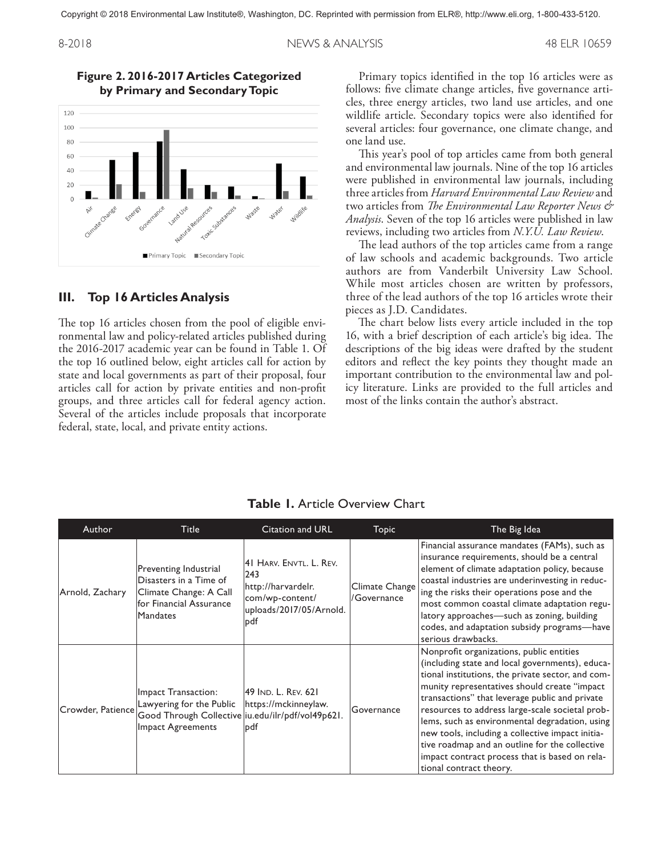8-2018 NEWS & ANALYSIS 48 ELR 10659



#### **Figure 2. 2016-2017 Articles Categorized by Primary and Secondary Topic**

#### **III. Top 16 Articles Analysis**

The top 16 articles chosen from the pool of eligible environmental law and policy-related articles published during the 2016-2017 academic year can be found in Table 1. Of the top 16 outlined below, eight articles call for action by state and local governments as part of their proposal, four articles call for action by private entities and non-profit groups, and three articles call for federal agency action. Several of the articles include proposals that incorporate federal, state, local, and private entity actions.

Primary topics identified in the top 16 articles were as follows: five climate change articles, five governance articles, three energy articles, two land use articles, and one wildlife article. Secondary topics were also identified for several articles: four governance, one climate change, and one land use.

This year's pool of top articles came from both general and environmental law journals. Nine of the top 16 articles were published in environmental law journals, including three articles from *Harvard Environmental Law Review* and two articles from *The Environmental Law Reporter News & Analysis*. Seven of the top 16 articles were published in law reviews, including two articles from *N.Y.U. Law Review*.

The lead authors of the top articles came from a range of law schools and academic backgrounds. Two article authors are from Vanderbilt University Law School. While most articles chosen are written by professors, three of the lead authors of the top 16 articles wrote their pieces as J.D. Candidates.

The chart below lists every article included in the top 16, with a brief description of each article's big idea. The descriptions of the big ideas were drafted by the student editors and reflect the key points they thought made an important contribution to the environmental law and policy literature. Links are provided to the full articles and most of the links contain the author's abstract.

| Author            | <b>Title</b>                                                                                                              | Citation and URL                                                                                           | Topic                         | The Big Idea                                                                                                                                                                                                                                                                                                                                                                                                                                                                                                                               |
|-------------------|---------------------------------------------------------------------------------------------------------------------------|------------------------------------------------------------------------------------------------------------|-------------------------------|--------------------------------------------------------------------------------------------------------------------------------------------------------------------------------------------------------------------------------------------------------------------------------------------------------------------------------------------------------------------------------------------------------------------------------------------------------------------------------------------------------------------------------------------|
| Arnold, Zachary   | Preventing Industrial<br>Disasters in a Time of<br>Climate Change: A Call<br>for Financial Assurance<br><b>Mandates</b>   | 41 HARV. ENVTL. L. REV.<br>243<br>http://harvardelr.<br>com/wp-content/<br>uploads/2017/05/Arnold.<br>lpdf | Climate Change<br>/Governance | Financial assurance mandates (FAMs), such as<br>insurance requirements, should be a central<br>element of climate adaptation policy, because<br>coastal industries are underinvesting in reduc-<br>ing the risks their operations pose and the<br>most common coastal climate adaptation regu-<br>latory approaches-such as zoning, building<br>codes, and adaptation subsidy programs-have<br>serious drawbacks.                                                                                                                          |
| Crowder, Patience | Impact Transaction:<br>Lawyering for the Public<br>Good Through Collective iu.edu/ilr/pdf/vol49p621.<br>Impact Agreements | 49 IND. L. REV. 621<br>https://mckinneylaw.<br>lpdf                                                        | Governance                    | Nonprofit organizations, public entities<br>(including state and local governments), educa-<br>tional institutions, the private sector, and com-<br>munity representatives should create "impact<br>transactions" that leverage public and private<br>resources to address large-scale societal prob-<br>lems, such as environmental degradation, using<br>new tools, including a collective impact initia-<br>tive roadmap and an outline for the collective<br>impact contract process that is based on rela-<br>tional contract theory. |

**Table 1.** Article Overview Chart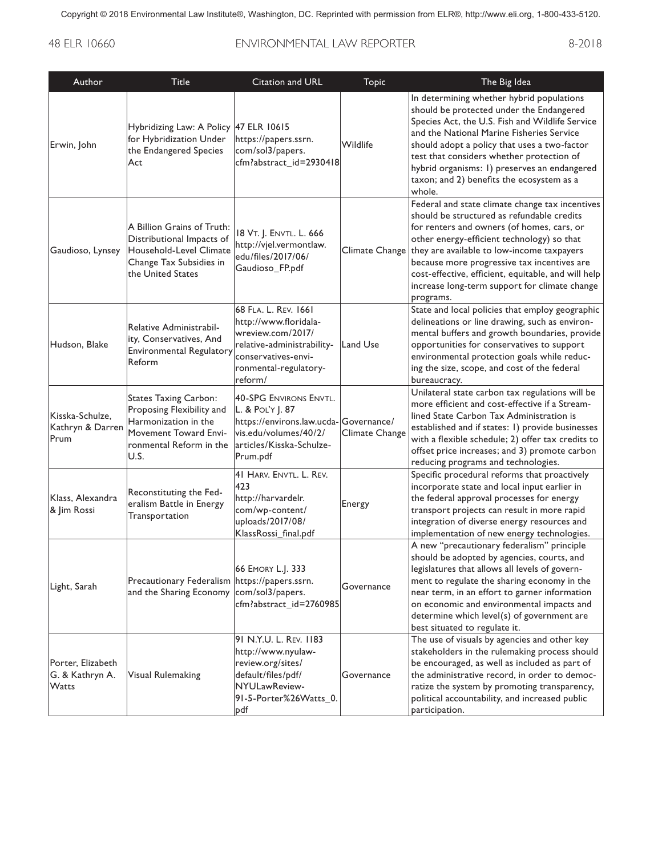## 48 ELR 10660 ENVIRONMENTAL LAW REPORTER 8-2018

| Author                                        | <b>Title</b>                                                                                                                           | Citation and URL                                                                                                                                             | <b>Topic</b>   | The Big Idea                                                                                                                                                                                                                                                                                                                                                                                                |
|-----------------------------------------------|----------------------------------------------------------------------------------------------------------------------------------------|--------------------------------------------------------------------------------------------------------------------------------------------------------------|----------------|-------------------------------------------------------------------------------------------------------------------------------------------------------------------------------------------------------------------------------------------------------------------------------------------------------------------------------------------------------------------------------------------------------------|
| Erwin, John                                   | Hybridizing Law: A Policy 47 ELR 10615<br>for Hybridization Under<br>the Endangered Species<br>Act                                     | https://papers.ssrn.<br>com/sol3/papers.<br>cfm?abstract_id=2930418                                                                                          | Wildlife       | In determining whether hybrid populations<br>should be protected under the Endangered<br>Species Act, the U.S. Fish and Wildlife Service<br>and the National Marine Fisheries Service<br>should adopt a policy that uses a two-factor<br>test that considers whether protection of<br>hybrid organisms: 1) preserves an endangered<br>taxon; and 2) benefits the ecosystem as a<br>whole.                   |
| Gaudioso, Lynsey                              | A Billion Grains of Truth:<br>Distributional Impacts of<br>Household-Level Climate<br>Change Tax Subsidies in<br>the United States     | 18 VT. J. ENVTL. L. 666<br>http://vjel.vermontlaw.<br>edu/files/2017/06/<br>Gaudioso_FP.pdf                                                                  | Climate Change | Federal and state climate change tax incentives<br>should be structured as refundable credits<br>for renters and owners (of homes, cars, or<br>other energy-efficient technology) so that<br>they are available to low-income taxpayers<br>because more progressive tax incentives are<br>cost-effective, efficient, equitable, and will help<br>increase long-term support for climate change<br>programs. |
| Hudson, Blake                                 | Relative Administrabil-<br>ity, Conservatives, And<br>Environmental Regulatory<br>Reform                                               | 68 FLA. L. REV. 1661<br>http://www.floridala-<br>wreview.com/2017/<br>relative-administrability-<br>conservatives-envi-<br>ronmental-regulatory-<br>reform/  | Land Use       | State and local policies that employ geographic<br>delineations or line drawing, such as environ-<br>mental buffers and growth boundaries, provide<br>opportunities for conservatives to support<br>environmental protection goals while reduc-<br>ing the size, scope, and cost of the federal<br>bureaucracy.                                                                                             |
| Kisska-Schulze,<br>Kathryn & Darren<br>Prum   | States Taxing Carbon:<br>Proposing Flexibility and<br>Harmonization in the<br>Movement Toward Envi-<br>ronmental Reform in the<br>U.S. | <b>40-SPG ENVIRONS ENVTL.</b><br>L. & POL'Y J. 87<br>https://environs.law.ucda-Governance/<br>vis.edu/volumes/40/2/<br> articles/Kisska-Schulze-<br>Prum.pdf | Climate Change | Unilateral state carbon tax regulations will be<br>more efficient and cost-effective if a Stream-<br>lined State Carbon Tax Administration is<br>established and if states: 1) provide businesses<br>with a flexible schedule; 2) offer tax credits to<br>offset price increases; and 3) promote carbon<br>reducing programs and technologies.                                                              |
| Klass. Alexandra<br>& Jim Rossi               | Reconstituting the Fed-<br>eralism Battle in Energy<br>Transportation                                                                  | 41 HARV. ENVTL. L. REV.<br>423<br>http://harvardelr.<br>com/wp-content/<br>uploads/2017/08/<br>KlassRossi_final.pdf                                          | Energy         | Specific procedural reforms that proactively<br>incorporate state and local input earlier in<br>the federal approval processes for energy<br>transport projects can result in more rapid<br>integration of diverse energy resources and<br>implementation of new energy technologies.                                                                                                                       |
| Light, Sarah                                  | Precautionary Federalism https://papers.ssrn.<br>and the Sharing Economy com/sol3/papers.                                              | 66 EMORY L.J. 333<br>cfm?abstract_id=2760985                                                                                                                 | Governance     | A new "precautionary federalism" principle<br>should be adopted by agencies, courts, and<br>legislatures that allows all levels of govern-<br>ment to regulate the sharing economy in the<br>near term, in an effort to garner information<br>on economic and environmental impacts and<br>determine which level(s) of government are<br>best situated to regulate it.                                      |
| Porter, Elizabeth<br>G. & Kathryn A.<br>Watts | Visual Rulemaking                                                                                                                      | 91 N.Y.U. L. REV. 1183<br>http://www.nyulaw-<br>review.org/sites/<br>default/files/pdf/<br>NYULawReview-<br>91-5-Porter%26Watts_0.<br>pdf                    | Governance     | The use of visuals by agencies and other key<br>stakeholders in the rulemaking process should<br>be encouraged, as well as included as part of<br>the administrative record, in order to democ-<br>ratize the system by promoting transparency,<br>political accountability, and increased public<br>participation.                                                                                         |